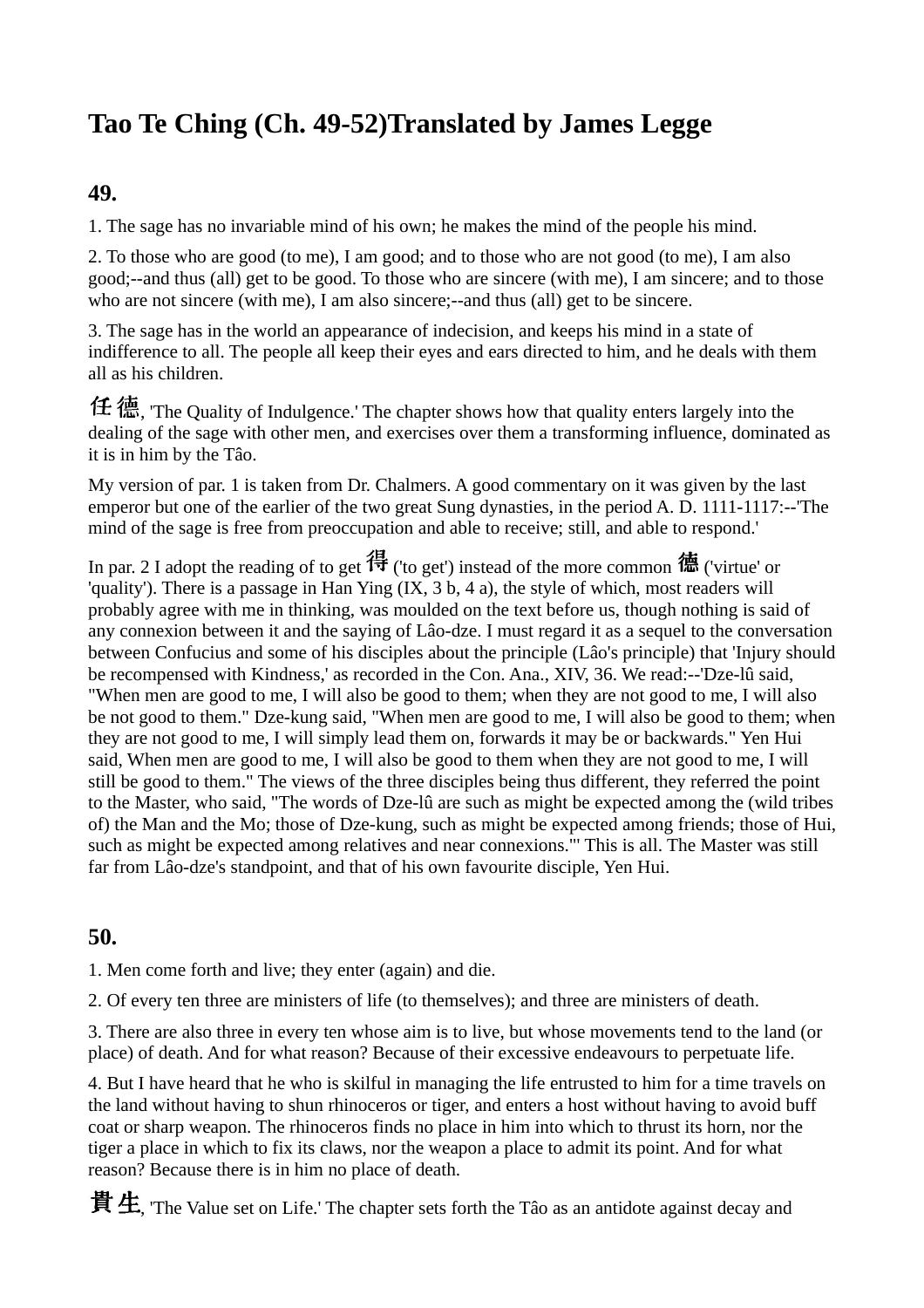# **Tao Te Ching (Ch. 49-52)Translated by James Legge**

#### **49.**

1. The sage has no invariable mind of his own; he makes the mind of the people his mind.

2. To those who are good (to me), I am good; and to those who are not good (to me), I am also good;--and thus (all) get to be good. To those who are sincere (with me), I am sincere; and to those who are not sincere (with me), I am also sincere;--and thus (all) get to be sincere.

3. The sage has in the world an appearance of indecision, and keeps his mind in a state of indifference to all. The people all keep their eyes and ears directed to him, and he deals with them all as his children.

任 德, The Quality of Indulgence.' The chapter shows how that quality enters largely into the dealing of the sage with other men, and exercises over them a transforming influence, dominated as it is in him by the Tâo.

My version of par. 1 is taken from Dr. Chalmers. A good commentary on it was given by the last emperor but one of the earlier of the two great Sung dynasties, in the period A. D. 1111-1117:--'The mind of the sage is free from preoccupation and able to receive; still, and able to respond.'

In par. 2 I adopt the reading of to get  $\mathcal{H}$  ('to get') instead of the more common  $\ddot{\mathbf{m}}$  ('virtue' or 'quality'). There is a passage in Han Ying (IX, 3 b, 4 a), the style of which, most readers will probably agree with me in thinking, was moulded on the text before us, though nothing is said of any connexion between it and the saying of Lâo-dze. I must regard it as a sequel to the conversation between Confucius and some of his disciples about the principle (Lâo's principle) that 'Injury should be recompensed with Kindness,' as recorded in the Con. Ana., XIV, 36. We read:--'Dze-lû said, "When men are good to me, I will also be good to them; when they are not good to me, I will also be not good to them." Dze-kung said, "When men are good to me, I will also be good to them; when they are not good to me, I will simply lead them on, forwards it may be or backwards." Yen Hui said, When men are good to me, I will also be good to them when they are not good to me, I will still be good to them." The views of the three disciples being thus different, they referred the point to the Master, who said, "The words of Dze-lû are such as might be expected among the (wild tribes of) the Man and the Mo; those of Dze-kung, such as might be expected among friends; those of Hui, such as might be expected among relatives and near connexions."' This is all. The Master was still far from Lâo-dze's standpoint, and that of his own favourite disciple, Yen Hui.

#### **50.**

1. Men come forth and live; they enter (again) and die.

2. Of every ten three are ministers of life (to themselves); and three are ministers of death.

3. There are also three in every ten whose aim is to live, but whose movements tend to the land (or place) of death. And for what reason? Because of their excessive endeavours to perpetuate life.

4. But I have heard that he who is skilful in managing the life entrusted to him for a time travels on the land without having to shun rhinoceros or tiger, and enters a host without having to avoid buff coat or sharp weapon. The rhinoceros finds no place in him into which to thrust its horn, nor the tiger a place in which to fix its claws, nor the weapon a place to admit its point. And for what reason? Because there is in him no place of death.

**貴生**, 'The Value set on Life.' The chapter sets forth the Tâo as an antidote against decay and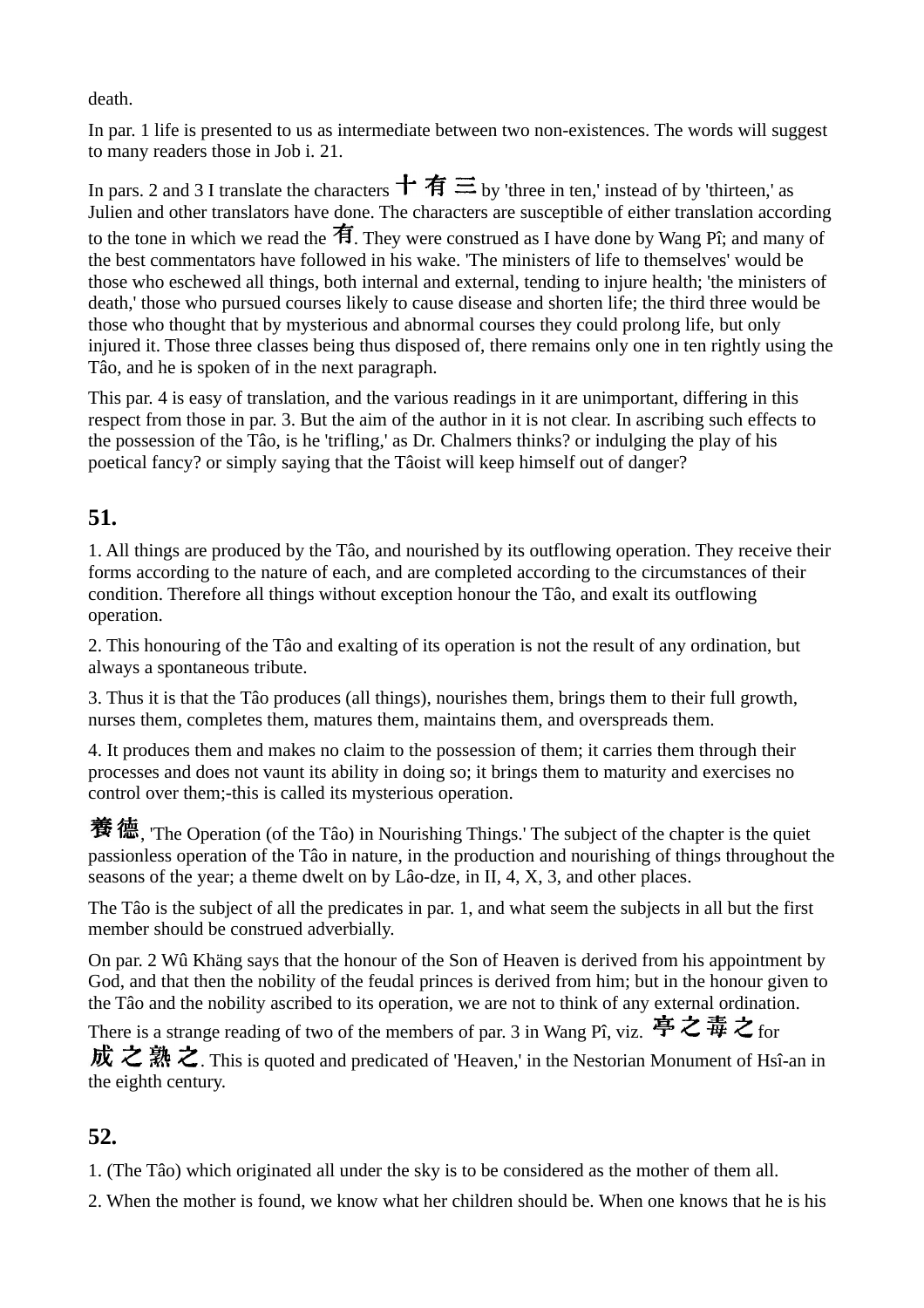death.

In par. 1 life is presented to us as intermediate between two non-existences. The words will suggest to many readers those in Job i. 21.

In pars. 2 and 3 I translate the characters  $\pm \pi \equiv$  by 'three in ten,' instead of by 'thirteen,' as Julien and other translators have done. The characters are susceptible of either translation according to the tone in which we read the  $\hat{\mathbf{F}}$ . They were construed as I have done by Wang Pî; and many of the best commentators have followed in his wake. 'The ministers of life to themselves' would be those who eschewed all things, both internal and external, tending to injure health; 'the ministers of death,' those who pursued courses likely to cause disease and shorten life; the third three would be those who thought that by mysterious and abnormal courses they could prolong life, but only injured it. Those three classes being thus disposed of, there remains only one in ten rightly using the Tâo, and he is spoken of in the next paragraph.

This par. 4 is easy of translation, and the various readings in it are unimportant, differing in this respect from those in par. 3. But the aim of the author in it is not clear. In ascribing such effects to the possession of the Tâo, is he 'trifling,' as Dr. Chalmers thinks? or indulging the play of his poetical fancy? or simply saying that the Tâoist will keep himself out of danger?

### **51.**

1. All things are produced by the Tâo, and nourished by its outflowing operation. They receive their forms according to the nature of each, and are completed according to the circumstances of their condition. Therefore all things without exception honour the Tâo, and exalt its outflowing operation.

2. This honouring of the Tâo and exalting of its operation is not the result of any ordination, but always a spontaneous tribute.

3. Thus it is that the Tâo produces (all things), nourishes them, brings them to their full growth, nurses them, completes them, matures them, maintains them, and overspreads them.

4. It produces them and makes no claim to the possession of them; it carries them through their processes and does not vaunt its ability in doing so; it brings them to maturity and exercises no control over them;-this is called its mysterious operation.

**養德**, The Operation (of the Tâo) in Nourishing Things.' The subject of the chapter is the quiet passionless operation of the Tâo in nature, in the production and nourishing of things throughout the seasons of the year; a theme dwelt on by Lâo-dze, in II, 4, X, 3, and other places.

The Tâo is the subject of all the predicates in par. 1, and what seem the subjects in all but the first member should be construed adverbially.

On par. 2 Wû Khäng says that the honour of the Son of Heaven is derived from his appointment by God, and that then the nobility of the feudal princes is derived from him; but in the honour given to the Tâo and the nobility ascribed to its operation, we are not to think of any external ordination.

There is a strange reading of two of the members of par. 3 in Wang Pî, viz. 亭之毒之 for 成之熟之. This is quoted and predicated of 'Heaven,' in the Nestorian Monument of Hsî-an in the eighth century.

### **52.**

1. (The Tâo) which originated all under the sky is to be considered as the mother of them all.

2. When the mother is found, we know what her children should be. When one knows that he is his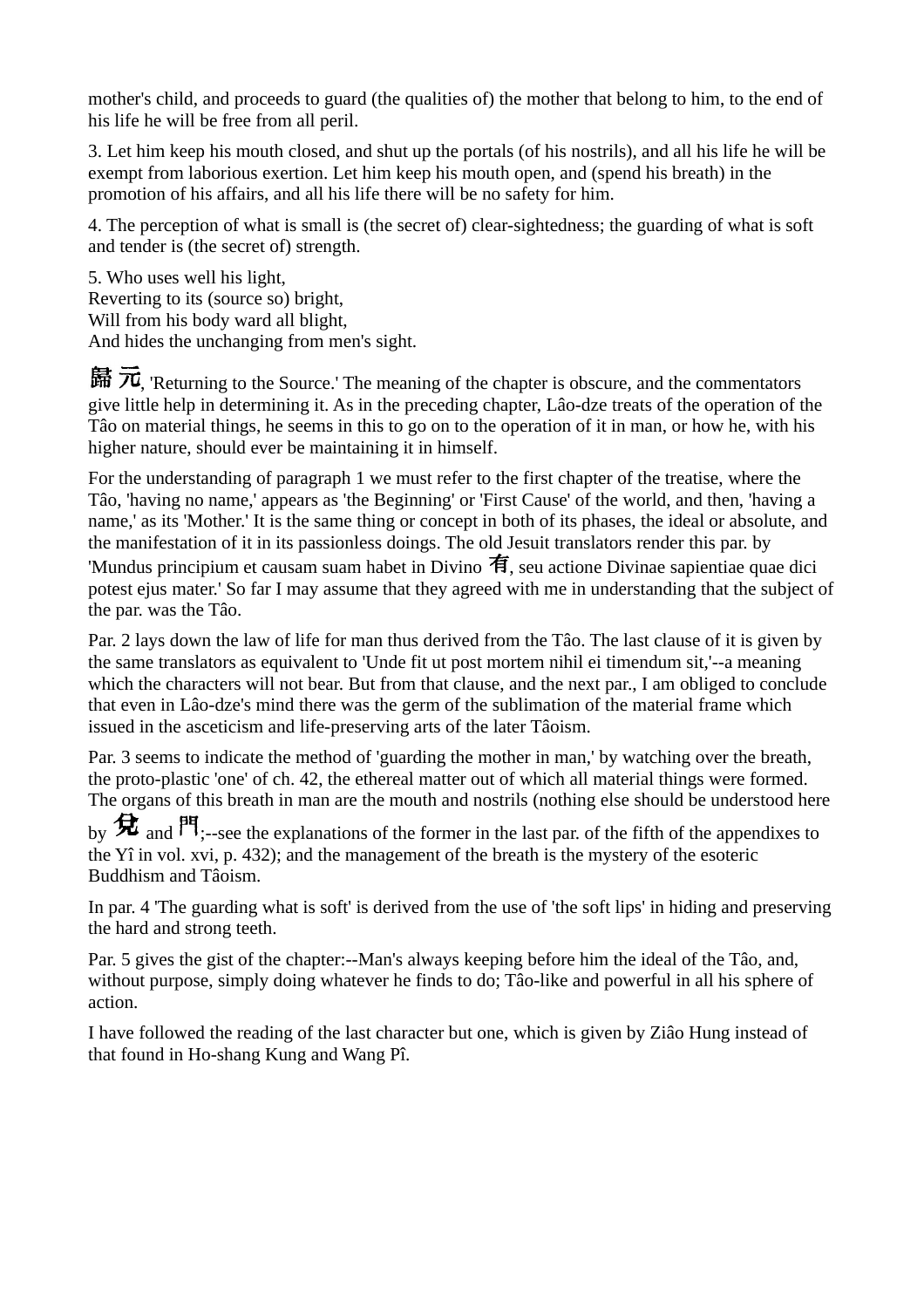mother's child, and proceeds to guard (the qualities of) the mother that belong to him, to the end of his life he will be free from all peril.

3. Let him keep his mouth closed, and shut up the portals (of his nostrils), and all his life he will be exempt from laborious exertion. Let him keep his mouth open, and (spend his breath) in the promotion of his affairs, and all his life there will be no safety for him.

4. The perception of what is small is (the secret of) clear-sightedness; the guarding of what is soft and tender is (the secret of) strength.

5. Who uses well his light, Reverting to its (source so) bright, Will from his body ward all blight, And hides the unchanging from men's sight.

歸  $\overline{\pi}$ , 'Returning to the Source.' The meaning of the chapter is obscure, and the commentators give little help in determining it. As in the preceding chapter, Lâo-dze treats of the operation of the Tâo on material things, he seems in this to go on to the operation of it in man, or how he, with his higher nature, should ever be maintaining it in himself.

For the understanding of paragraph 1 we must refer to the first chapter of the treatise, where the Tâo, 'having no name,' appears as 'the Beginning' or 'First Cause' of the world, and then, 'having a name,' as its 'Mother.' It is the same thing or concept in both of its phases, the ideal or absolute, and the manifestation of it in its passionless doings. The old Jesuit translators render this par. by 'Mundus principium et causam suam habet in Divino 有, seu actione Divinae sapientiae quae dici potest ejus mater.' So far I may assume that they agreed with me in understanding that the subject of the par. was the Tâo.

Par. 2 lays down the law of life for man thus derived from the Tâo. The last clause of it is given by the same translators as equivalent to 'Unde fit ut post mortem nihil ei timendum sit,'--a meaning which the characters will not bear. But from that clause, and the next par., I am obliged to conclude that even in Lâo-dze's mind there was the germ of the sublimation of the material frame which issued in the asceticism and life-preserving arts of the later Tâoism.

Par. 3 seems to indicate the method of 'guarding the mother in man,' by watching over the breath, the proto-plastic 'one' of ch. 42, the ethereal matter out of which all material things were formed. The organs of this breath in man are the mouth and nostrils (nothing else should be understood here

by  $\bigstar$  and  $\mathsf{P1}_{;--}$ see the explanations of the former in the last par. of the fifth of the appendixes to the Yî in vol. xvi, p. 432); and the management of the breath is the mystery of the esoteric Buddhism and Tâoism.

In par. 4 'The guarding what is soft' is derived from the use of 'the soft lips' in hiding and preserving the hard and strong teeth.

Par. 5 gives the gist of the chapter:--Man's always keeping before him the ideal of the Tâo, and, without purpose, simply doing whatever he finds to do; Tâo-like and powerful in all his sphere of action.

I have followed the reading of the last character but one, which is given by Ziâo Hung instead of that found in Ho-shang Kung and Wang Pî.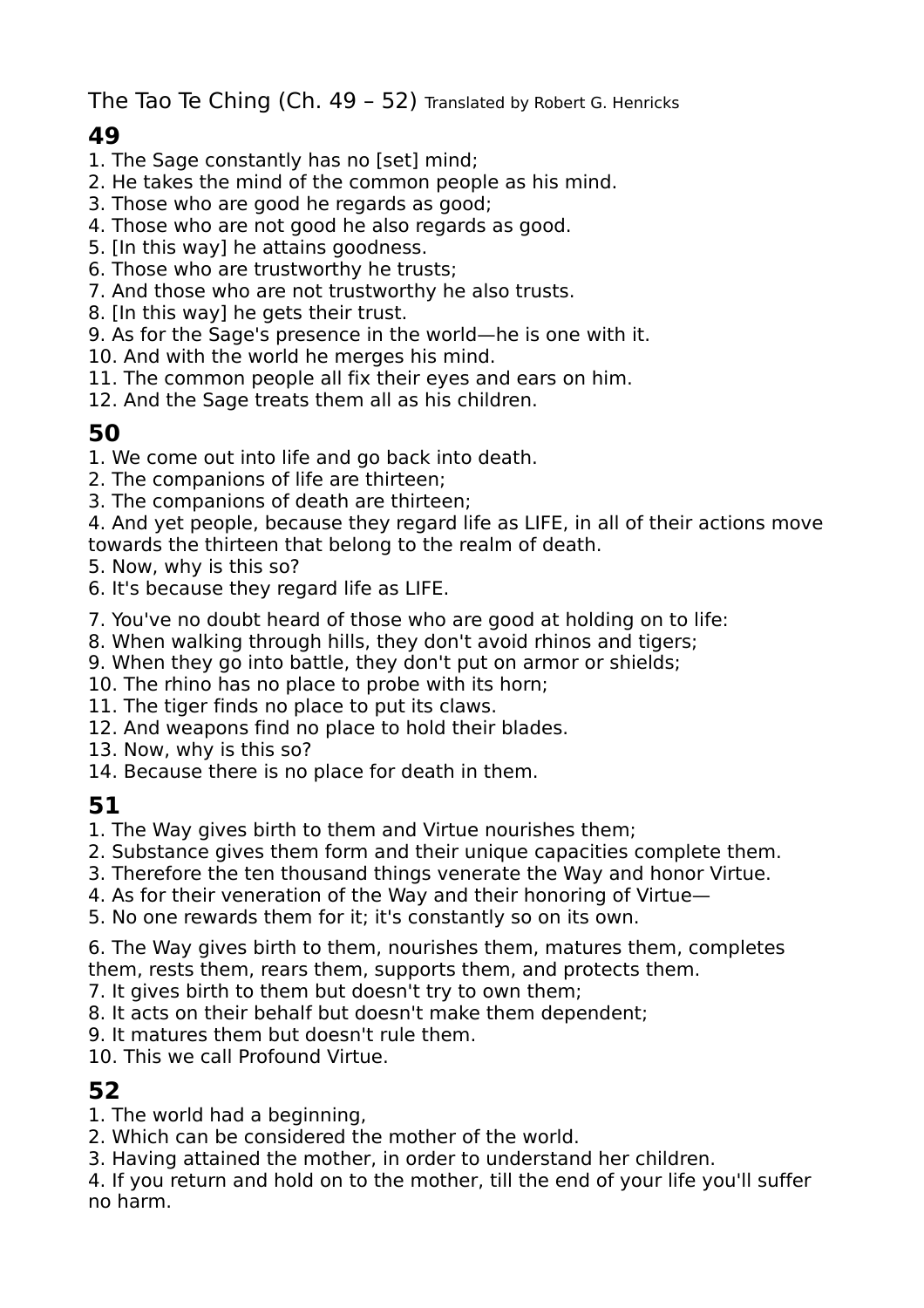The Tao Te Ching (Ch. 49 – 52) Translated by Robert G. Henricks

# **49**

- 1. The Sage constantly has no [set] mind;
- 2. He takes the mind of the common people as his mind.
- 3. Those who are good he regards as good;
- 4. Those who are not good he also regards as good.
- 5. [In this way] he attains goodness.
- 6. Those who are trustworthy he trusts;
- 7. And those who are not trustworthy he also trusts.
- 8. [In this way] he gets their trust.
- 9. As for the Sage's presence in the world—he is one with it.
- 10. And with the world he merges his mind.
- 11. The common people all fix their eyes and ears on him.
- 12. And the Sage treats them all as his children.

### **50**

- 1. We come out into life and go back into death.
- 2. The companions of life are thirteen;
- 3. The companions of death are thirteen;
- 4. And yet people, because they regard life as LIFE, in all of their actions move towards the thirteen that belong to the realm of death.
- 5. Now, why is this so?
- 6. It's because they regard life as LIFE.
- 7. You've no doubt heard of those who are good at holding on to life:
- 8. When walking through hills, they don't avoid rhinos and tigers;
- 9. When they go into battle, they don't put on armor or shields;
- 10. The rhino has no place to probe with its horn;
- 11. The tiger finds no place to put its claws.
- 12. And weapons find no place to hold their blades.
- 13. Now, why is this so?
- 14. Because there is no place for death in them.

# **51**

- 1. The Way gives birth to them and Virtue nourishes them;
- 2. Substance gives them form and their unique capacities complete them.
- 3. Therefore the ten thousand things venerate the Way and honor Virtue.
- 4. As for their veneration of the Way and their honoring of Virtue—
- 5. No one rewards them for it; it's constantly so on its own.
- 6. The Way gives birth to them, nourishes them, matures them, completes them, rests them, rears them, supports them, and protects them.
- 7. It gives birth to them but doesn't try to own them;
- 8. It acts on their behalf but doesn't make them dependent;
- 9. It matures them but doesn't rule them.
- 10. This we call Profound Virtue.

### **52**

- 1. The world had a beginning,
- 2. Which can be considered the mother of the world.
- 3. Having attained the mother, in order to understand her children.
- 4. If you return and hold on to the mother, till the end of your life you'll suffer no harm.